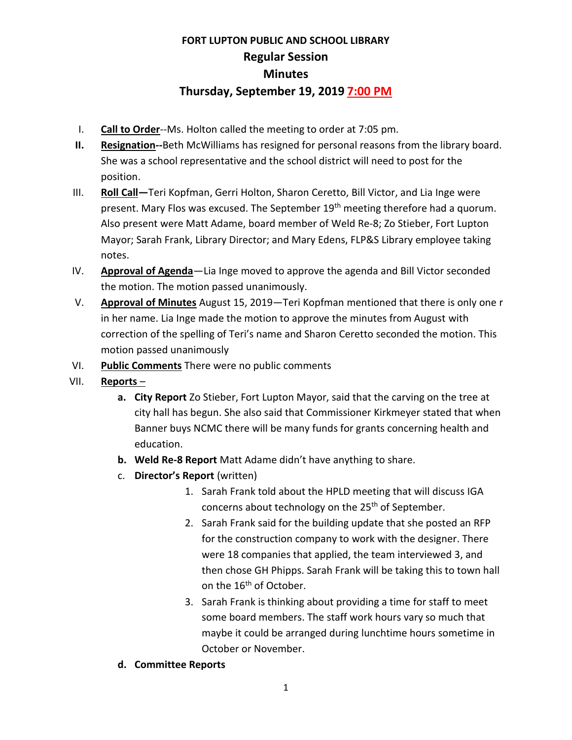## **FORT LUPTON PUBLIC AND SCHOOL LIBRARY Regular Session Minutes Thursday, September 19, 2019 7:00 PM**

- I. **Call to Order**--Ms. Holton called the meeting to order at 7:05 pm.
- **II. Resignation--**Beth McWilliams has resigned for personal reasons from the library board. She was a school representative and the school district will need to post for the position.
- III. **Roll Call—**Teri Kopfman, Gerri Holton, Sharon Ceretto, Bill Victor, and Lia Inge were present. Mary Flos was excused. The September 19<sup>th</sup> meeting therefore had a quorum. Also present were Matt Adame, board member of Weld Re-8; Zo Stieber, Fort Lupton Mayor; Sarah Frank, Library Director; and Mary Edens, FLP&S Library employee taking notes.
- IV. **Approval of Agenda**—Lia Inge moved to approve the agenda and Bill Victor seconded the motion. The motion passed unanimously.
- V. **Approval of Minutes** August 15, 2019—Teri Kopfman mentioned that there is only one r in her name. Lia Inge made the motion to approve the minutes from August with correction of the spelling of Teri's name and Sharon Ceretto seconded the motion. This motion passed unanimously
- VI. **Public Comments** There were no public comments
- VII. **Reports**
	- **a. City Report** Zo Stieber, Fort Lupton Mayor, said that the carving on the tree at city hall has begun. She also said that Commissioner Kirkmeyer stated that when Banner buys NCMC there will be many funds for grants concerning health and education.
	- **b. Weld Re-8 Report** Matt Adame didn't have anything to share.
	- c. **Director's Report** (written)
		- 1. Sarah Frank told about the HPLD meeting that will discuss IGA concerns about technology on the  $25<sup>th</sup>$  of September.
		- 2. Sarah Frank said for the building update that she posted an RFP for the construction company to work with the designer. There were 18 companies that applied, the team interviewed 3, and then chose GH Phipps. Sarah Frank will be taking this to town hall on the 16<sup>th</sup> of October.
		- 3. Sarah Frank is thinking about providing a time for staff to meet some board members. The staff work hours vary so much that maybe it could be arranged during lunchtime hours sometime in October or November.
	- **d. Committee Reports**